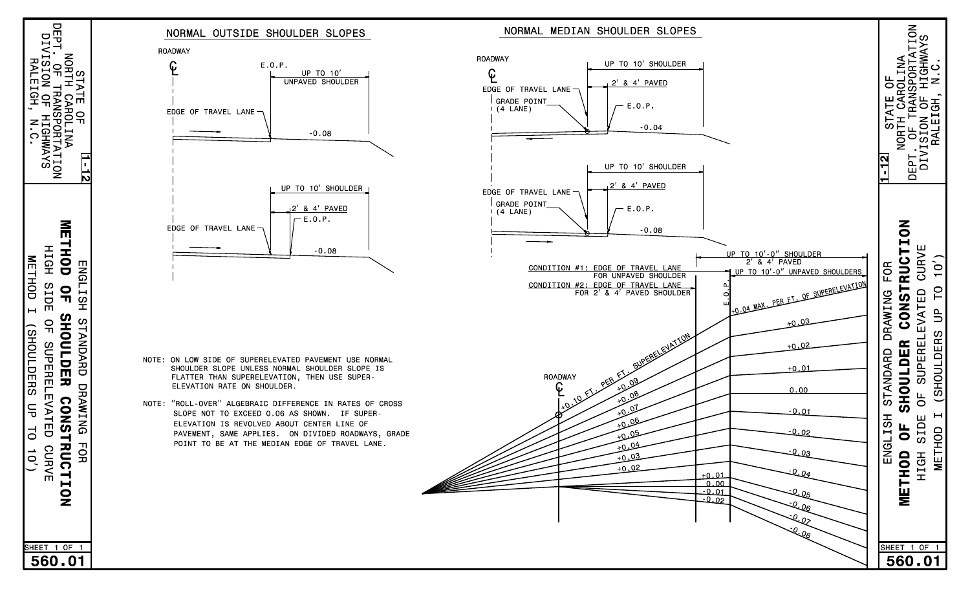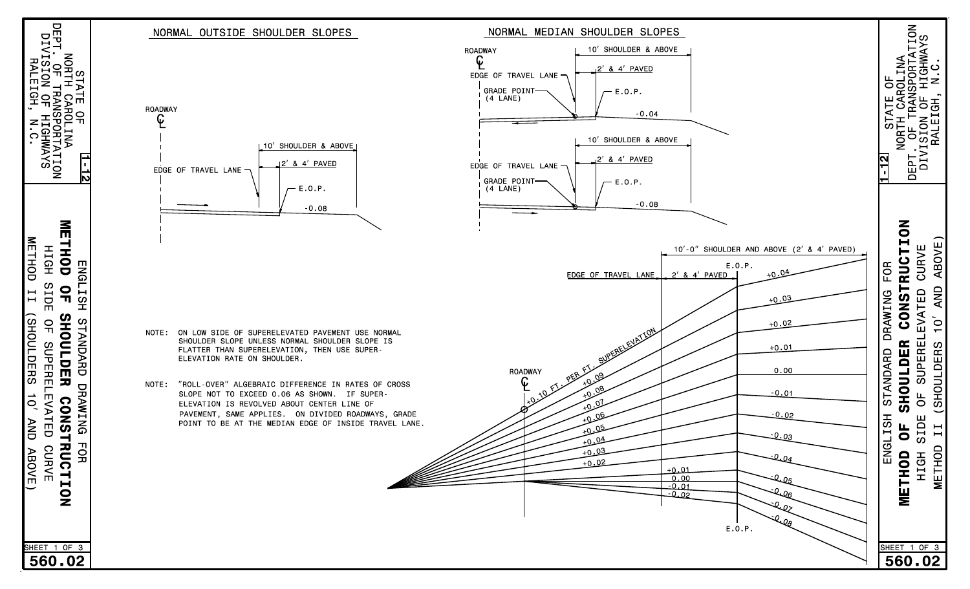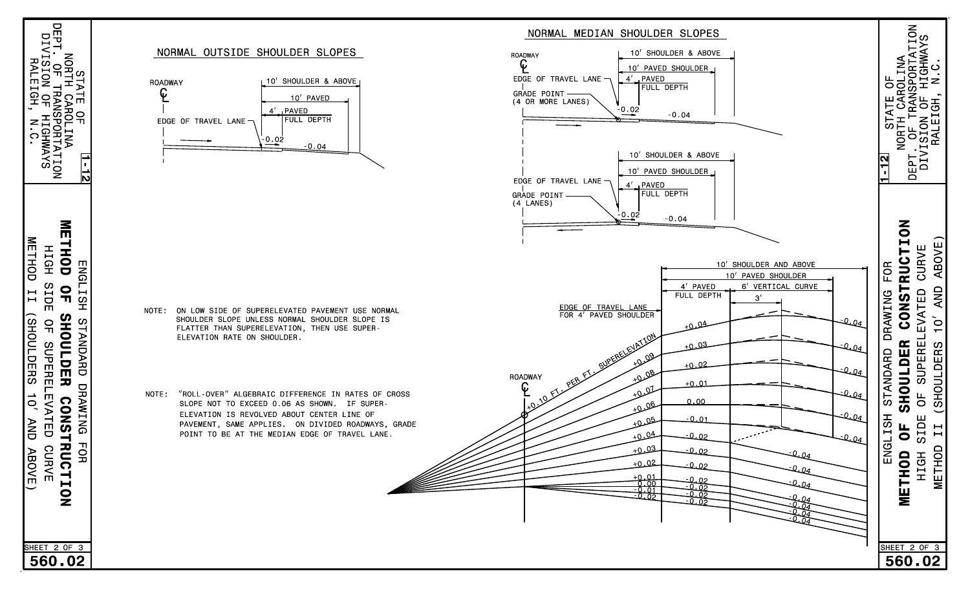